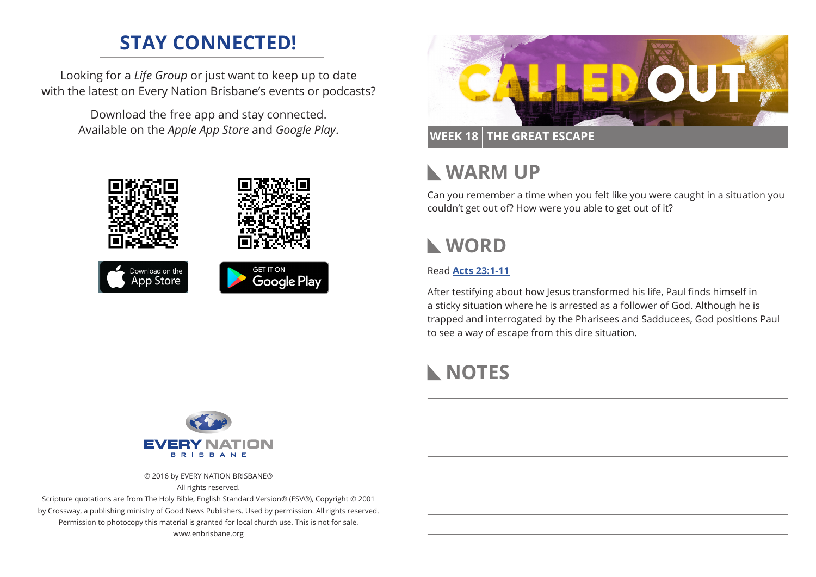# **STAY CONNECTED!**

Looking for a *Life Group* or just want to keep up to date with the latest on Every Nation Brisbane's events or podcasts?

> Download the free app and stay connected. Available on the *Apple App Store* and *Google Play*.





### **WEEK 18 THE GREAT ESCAPE**

## **WARM UP**

Can you remember a time when you felt like you were caught in a situation you couldn't get out of? How were you able to get out of it?

# **WORD**

#### Read **[Acts 23:1-11](https://www.biblegateway.com/passage/?search=Acts+23%3A1-23%3A11)**

After testifying about how Jesus transformed his life, Paul finds himself in a sticky situation where he is arrested as a follower of God. Although he is trapped and interrogated by the Pharisees and Sadducees, God positions Paul to see a way of escape from this dire situation.

# **NOTES**



© 2016 by EVERY NATION BRISBANE®

All rights reserved.

Scripture quotations are from The Holy Bible, English Standard Version® (ESV®), Copyright © 2001 by Crossway, a publishing ministry of Good News Publishers. Used by permission. All rights reserved. Permission to photocopy this material is granted for local church use. This is not for sale. www.enbrisbane.org